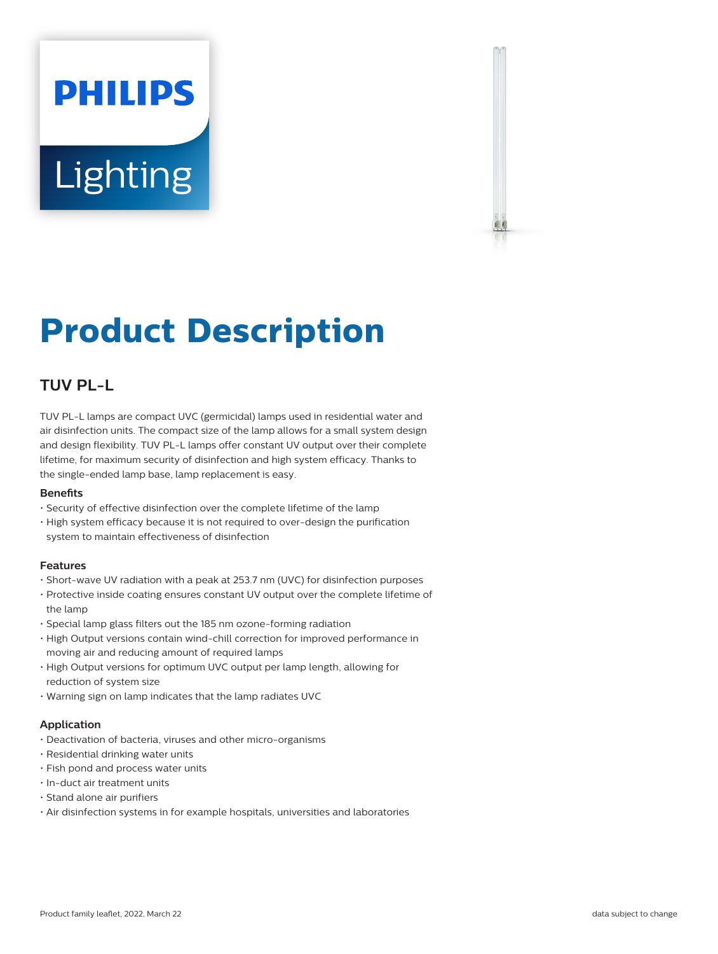# **PHILIPS Lighting**



# **Product Description**

## **TUV PL-L**

TUV PL-L lamps are compact UVC (germicidal) lamps used in residential water and air disinfection units. The compact size of the lamp allows for a small system design and design flexibility. TUV PL-L lamps offer constant UV output over their complete lifetime, for maximum security of disinfection and high system efficacy. Thanks to the single-ended lamp base, lamp replacement is easy.

#### **Benets**

- Security of effective disinfection over the complete lifetime of the lamp
- High system efficacy because it is not required to over-design the purification system to maintain effectiveness of disinfection

#### **Features**

- Short-wave UV radiation with a peak at 253.7 nm (UVC) for disinfection purposes
- Protective inside coating ensures constant UV output over the complete lifetime of the lamp
- Special lamp glass filters out the 185 nm ozone-forming radiation
- High Output versions contain wind-chill correction for improved performance in moving air and reducing amount of required lamps
- High Output versions for optimum UVC output per lamp length, allowing for reduction of system size
- Warning sign on lamp indicates that the lamp radiates UVC

#### **Application**

- Deactivation of bacteria, viruses and other micro-organisms
- Residential drinking water units
- Fish pond and process water units
- In-duct air treatment units
- Stand alone air purifiers
- Air disinfection systems in for example hospitals, universities and laboratories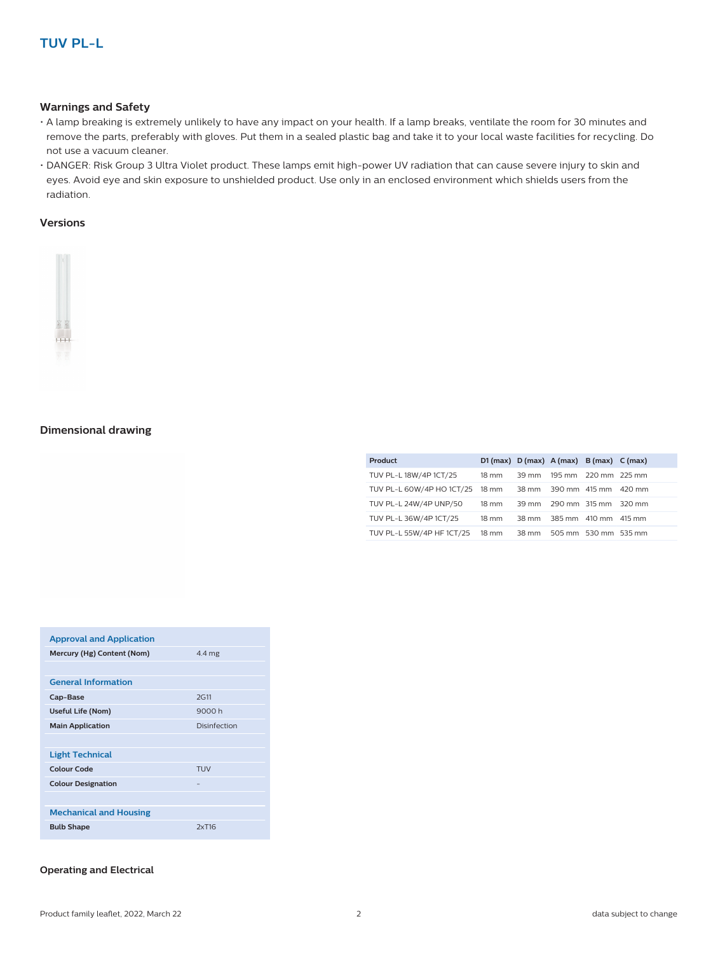#### **Warnings and Safety**

- A lamp breaking is extremely unlikely to have any impact on your health. If a lamp breaks, ventilate the room for 30 minutes and remove the parts, preferably with gloves. Put them in a sealed plastic bag and take it to your local waste facilities for recycling. Do not use a vacuum cleaner.
- DANGER: Risk Group 3 Ultra Violet product. These lamps emit high-power UV radiation that can cause severe injury to skin and eyes. Avoid eye and skin exposure to unshielded product. Use only in an enclosed environment which shields users from the radiation.

#### **Versions**



#### **Dimensional drawing**

| Product                         |                 | D1 (max) $D$ (max) $A$ (max) $B$ (max) $C$ (max) |  |
|---------------------------------|-----------------|--------------------------------------------------|--|
| TUV PL-L 18W/4P 1CT/25          | $18 \text{ mm}$ | 39 mm 195 mm 220 mm 225 mm                       |  |
| TUV PL-L 60W/4P HO 1CT/25 18 mm |                 | 38 mm 390 mm 415 mm 420 mm                       |  |
| TUV PL-L 24W/4P UNP/50          | $18 \text{ mm}$ | 39 mm 290 mm 315 mm 320 mm                       |  |
| TUV PL-L 36W/4P 1CT/25          | $18 \text{ mm}$ | 38 mm 385 mm 410 mm 415 mm                       |  |
| TUV PL-L 55W/4P HF 1CT/25       | 18 mm           | 38 mm 505 mm 530 mm 535 mm                       |  |

| <b>Approval and Application</b> |              |
|---------------------------------|--------------|
| Mercury (Hg) Content (Nom)      | 4.4 mg       |
|                                 |              |
| <b>General Information</b>      |              |
| Cap-Base                        | <b>2G11</b>  |
| <b>Useful Life (Nom)</b>        | 9000h        |
| <b>Main Application</b>         | Disinfection |
|                                 |              |
| <b>Light Technical</b>          |              |
| <b>Colour Code</b>              | TUV          |
| <b>Colour Designation</b>       | -            |
|                                 |              |
| <b>Mechanical and Housing</b>   |              |
| <b>Bulb Shape</b>               | 2xT16        |

#### **Operating and Electrical**